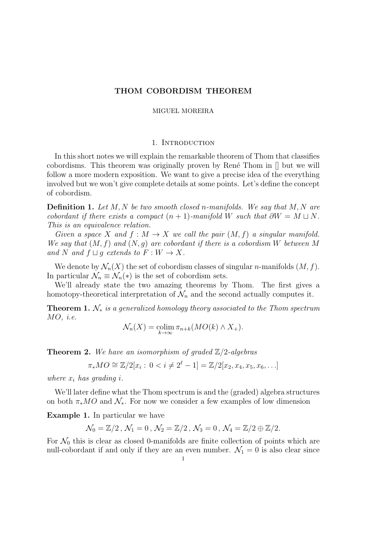# THOM COBORDISM THEOREM

## MIGUEL MOREIRA

## 1. INTRODUCTION

In this short notes we will explain the remarkable theorem of Thom that classifies cobordisms. This theorem was originally proven by René Thom in  $\parallel$  but we will follow a more modern exposition. We want to give a precise idea of the everything involved but we won't give complete details at some points. Let's define the concept of cobordism.

**Definition 1.** Let  $M, N$  be two smooth closed n-manifolds. We say that  $M, N$  are cobordant if there exists a compact  $(n + 1)$ -manifold W such that  $\partial W = M \sqcup N$ . This is an equivalence relation.

Given a space X and  $f : M \to X$  we call the pair  $(M, f)$  a singular manifold. We say that  $(M, f)$  and  $(N, g)$  are cobordant if there is a cobordism W between M and N and  $f \sqcup g$  extends to  $F : W \to X$ .

We denote by  $\mathcal{N}_n(X)$  the set of cobordism classes of singular *n*-manifolds  $(M, f)$ . In particular  $\mathcal{N}_n \equiv \mathcal{N}_n(*)$  is the set of cobordism sets.

We'll already state the two amazing theorems by Thom. The first gives a homotopy-theoretical interpretation of  $\mathcal{N}_n$  and the second actually computes it.

<span id="page-0-0"></span>**Theorem 1.**  $\mathcal{N}_*$  is a generalized homology theory associated to the Thom spectrum  $MO, i.e.$ 

$$
\mathcal{N}_n(X) = \operatorname*{colim}_{k \to \infty} \pi_{n+k}(MO(k) \wedge X_+).
$$

<span id="page-0-1"></span>**Theorem 2.** We have an isomorphism of graded  $\mathbb{Z}/2$ -algebras

$$
\pi_* MO \cong \mathbb{Z}/2[x_i : 0 < i \neq 2^{\ell} - 1] = \mathbb{Z}/2[x_2, x_4, x_5, x_6, \ldots]
$$

where  $x_i$  has grading i.

We'll later define what the Thom spectrum is and the (graded) algebra structures on both  $\pi_*MO$  and  $\mathcal{N}_*$ . For now we consider a few examples of low dimension

Example 1. In particular we have

$$
\mathcal{N}_0 = \mathbb{Z}/2 \, , \, \mathcal{N}_1 = 0 \, , \, \mathcal{N}_2 = \mathbb{Z}/2 \, , \, \mathcal{N}_3 = 0 \, , \, \mathcal{N}_4 = \mathbb{Z}/2 \oplus \mathbb{Z}/2.
$$

For  $\mathcal{N}_0$  this is clear as closed 0-manifolds are finite collection of points which are null-cobordant if and only if they are an even number.  $\mathcal{N}_1 = 0$  is also clear since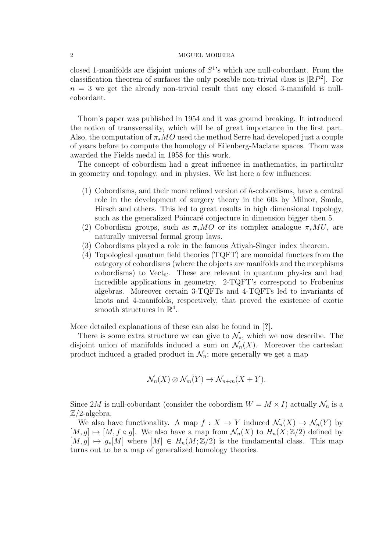closed 1-manifolds are disjoint unions of  $S<sup>1</sup>$ 's which are null-cobordant. From the classification theorem of surfaces the only possible non-trivial class is  $[\mathbb{R}P^2]$ . For  $n = 3$  we get the already non-trivial result that any closed 3-manifold is nullcobordant.

Thom's paper was published in 1954 and it was ground breaking. It introduced the notion of transversality, which will be of great importance in the first part. Also, the computation of  $\pi_*MO$  used the method Serre had developed just a couple of years before to compute the homology of Eilenberg-Maclane spaces. Thom was awarded the Fields medal in 1958 for this work.

The concept of cobordism had a great influence in mathematics, in particular in geometry and topology, and in physics. We list here a few influences:

- (1) Cobordisms, and their more refined version of h-cobordisms, have a central role in the development of surgery theory in the 60s by Milnor, Smale, Hirsch and others. This led to great results in high dimensional topology, such as the generalized Poincaré conjecture in dimension bigger then 5.
- (2) Cobordism groups, such as  $\pi_*MO$  or its complex analogue  $\pi_*MU$ , are naturally universal formal group laws.
- (3) Cobordisms played a role in the famous Atiyah-Singer index theorem.
- (4) Topological quantum field theories (TQFT) are monoidal functors from the category of cobordisms (where the objects are manifolds and the morphisms cobordisms) to Vect<sub>C</sub>. These are relevant in quantum physics and had incredible applications in geometry. 2-TQFT's correspond to Frobenius algebras. Moreover certain 3-TQFTs and 4-TQFTs led to invariants of knots and 4-manifolds, respectively, that proved the existence of exotic smooth structures in  $\mathbb{R}^4$ .

More detailed explanations of these can also be found in [?].

There is some extra structure we can give to  $\mathcal{N}_{*}$ , which we now describe. The disjoint union of manifolds induced a sum on  $\mathcal{N}_n(X)$ . Moreover the cartesian product induced a graded product in  $\mathcal{N}_n$ ; more generally we get a map

$$
\mathcal{N}_n(X) \otimes \mathcal{N}_m(Y) \to \mathcal{N}_{n+m}(X+Y).
$$

Since 2M is null-cobordant (consider the cobordism  $W = M \times I$ ) actually  $\mathcal{N}_n$  is a  $\mathbb{Z}/2$ -algebra.

We also have functionality. A map  $f: X \to Y$  induced  $\mathcal{N}_n(X) \to \mathcal{N}_n(Y)$  by  $[M, g] \mapsto [M, f \circ g]$ . We also have a map from  $\mathcal{N}_n(X)$  to  $H_n(X; \mathbb{Z}/2)$  defined by  $[M, g] \mapsto g_*[M]$  where  $[M] \in H_n(M; \mathbb{Z}/2)$  is the fundamental class. This map turns out to be a map of generalized homology theories.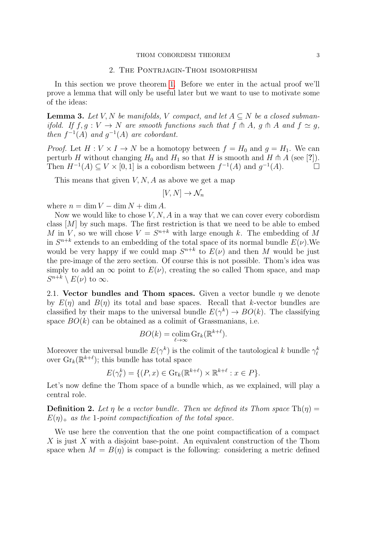#### THOM COBORDISM THEOREM 3

### 2. The Pontrjagin-Thom isomorphism

In this section we prove theorem [1.](#page-0-0) Before we enter in the actual proof we'll prove a lemma that will only be useful later but we want to use to motivate some of the ideas:

<span id="page-2-0"></span>**Lemma 3.** Let V, N be manifolds, V compact, and let  $A \subseteq N$  be a closed submanifold. If  $f, g: V \to N$  are smooth functions such that  $f \uparrow A$ ,  $g \uparrow A$  and  $f \simeq g$ , then  $f^{-1}(A)$  and  $g^{-1}(A)$  are cobordant.

*Proof.* Let  $H: V \times I \to N$  be a homotopy between  $f = H_0$  and  $g = H_1$ . We can perturb H without changing  $H_0$  and  $H_1$  so that H is smooth and H  $\pitchfork$  A (see [?]). Then  $H^{-1}(A) \subseteq V \times [0,1]$  is a cobordism between  $f^{-1}(A)$  and  $g^{-1}(A)$ .

This means that given  $V, N, A$  as above we get a map

$$
[V, N] \to \mathcal{N}_n
$$

where  $n = \dim V - \dim N + \dim A$ .

Now we would like to chose  $V, N, A$  in a way that we can cover every cobordism class  $[M]$  by such maps. The first restriction is that we need to be able to embed M in V, so we will chose  $V = S^{n+k}$  with large enough k. The embedding of M in  $S^{n+k}$  extends to an embedding of the total space of its normal bundle  $E(\nu)$ . We would be very happy if we could map  $S^{n+k}$  to  $E(\nu)$  and then M would be just the pre-image of the zero section. Of course this is not possible. Thom's idea was simply to add an  $\infty$  point to  $E(\nu)$ , creating the so called Thom space, and map  $S^{n+k} \setminus E(\nu)$  to  $\infty$ .

2.1. Vector bundles and Thom spaces. Given a vector bundle  $\eta$  we denote by  $E(\eta)$  and  $B(\eta)$  its total and base spaces. Recall that k-vector bundles are classified by their maps to the universal bundle  $E(\gamma^k) \to BO(k)$ . The classifying space  $BO(k)$  can be obtained as a colimit of Grassmanians, i.e.

$$
BO(k) = \operatorname*{colim}_{\ell \to \infty} \operatorname{Gr}_k(\mathbb{R}^{k+\ell}).
$$

Moreover the universal bundle  $E(\gamma^k)$  is the colimit of the tautological k bundle  $\gamma_\ell^k$ over  $\text{Gr}_k(\mathbb{R}^{k+\ell})$ ; this bundle has total space

$$
E(\gamma_{\ell}^{k}) = \{ (P, x) \in \text{Gr}_{k}(\mathbb{R}^{k+\ell}) \times \mathbb{R}^{k+\ell} : x \in P \}.
$$

Let's now define the Thom space of a bundle which, as we explained, will play a central role.

**Definition 2.** Let  $\eta$  be a vector bundle. Then we defined its Thom space  $\text{Th}(\eta)$  =  $E(\eta)_+$  as the 1-point compactification of the total space.

We use here the convention that the one point compactification of a compact X is just  $X$  with a disjoint base-point. An equivalent construction of the Thom space when  $M = B(\eta)$  is compact is the following: considering a metric defined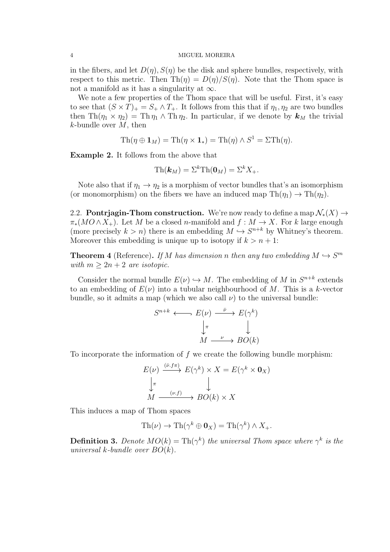in the fibers, and let  $D(\eta)$ ,  $S(\eta)$  be the disk and sphere bundles, respectively, with respect to this metric. Then  $\text{Th}(\eta) = D(\eta)/S(\eta)$ . Note that the Thom space is not a manifold as it has a singularity at  $\infty$ .

We note a few properties of the Thom space that will be useful. First, it's easy to see that  $(S \times T)_+ = S_+ \wedge T_+$ . It follows from this that if  $\eta_1, \eta_2$  are two bundles then Th( $\eta_1 \times \eta_2$ ) = Th $\eta_1 \wedge$  Th $\eta_2$ . In particular, if we denote by  $\mathbf{k}_M$  the trivial  $k$ -bundle over  $M$ , then

$$
Th(\eta \oplus \mathbf{1}_M) = Th(\eta \times \mathbf{1}_*) = Th(\eta) \wedge S^1 = \Sigma Th(\eta).
$$

Example 2. It follows from the above that

$$
\mathrm{Th}(\boldsymbol{k}_M)=\Sigma^k\mathrm{Th}(\boldsymbol{0}_M)=\Sigma^kX_+.
$$

Note also that if  $\eta_1 \to \eta_2$  is a morphism of vector bundles that's an isomorphism (or monomorphism) on the fibers we have an induced map  $\text{Th}(\eta_1) \to \text{Th}(\eta_2)$ .

2.2. **Pontrjagin-Thom construction.** We're now ready to define a map  $\mathcal{N}_*(X) \to$  $\pi_*(MO \wedge X_+)$ . Let M be a closed n-manifold and  $f : M \to X$ . For k large enough (more precisely  $k > n$ ) there is an embedding  $M \hookrightarrow S^{n+k}$  by Whitney's theorem. Moreover this embedding is unique up to isotopy if  $k > n + 1$ :

**Theorem 4** (Reference). If M has dimension n then any two embedding  $M \hookrightarrow S^m$ with  $m \geq 2n + 2$  are isotopic.

Consider the normal bundle  $E(\nu) \hookrightarrow M$ . The embedding of M in  $S^{n+k}$  extends to an embedding of  $E(\nu)$  into a tubular neighbourhood of M. This is a k-vector bundle, so it admits a map (which we also call  $\nu$ ) to the universal bundle:

$$
S^{n+k} \longleftrightarrow E(\nu) \xrightarrow{\bar{\nu}} E(\gamma^k)
$$

$$
\downarrow^{\pi} \qquad \qquad \downarrow
$$

$$
M \xrightarrow{\nu} BO(k)
$$

To incorporate the information of  $f$  we create the following bundle morphism:

$$
E(\nu) \xrightarrow{(\bar{\nu}, f\pi)} E(\gamma^k) \times X = E(\gamma^k \times \mathbf{0}_X)
$$
  

$$
\downarrow \pi
$$
  

$$
M \xrightarrow{(\nu, f)} BO(k) \times X
$$

This induces a map of Thom spaces

$$
\mathrm{Th}(\nu) \to \mathrm{Th}(\gamma^k \oplus \mathbf{0}_X) = \mathrm{Th}(\gamma^k) \wedge X_+.
$$

**Definition 3.** Denote  $MO(k) = Th(\gamma^k)$  the universal Thom space where  $\gamma^k$  is the universal k-bundle over  $BO(k)$ .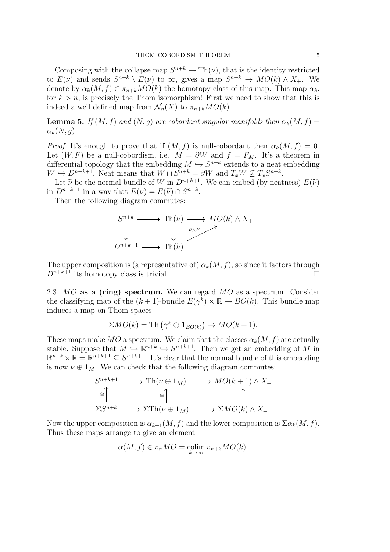Composing with the collapse map  $S^{n+k} \to \text{Th}(\nu)$ , that is the identity restricted to  $E(\nu)$  and sends  $S^{n+k} \setminus E(\nu)$  to  $\infty$ , gives a map  $S^{n+k} \to MO(k) \wedge X_+$ . We denote by  $\alpha_k(M, f) \in \pi_{n+k}MO(k)$  the homotopy class of this map. This map  $\alpha_k$ , for  $k > n$ , is precisely the Thom isomorphism! First we need to show that this is indeed a well defined map from  $\mathcal{N}_n(X)$  to  $\pi_{n+k}MO(k)$ .

**Lemma 5.** If  $(M, f)$  and  $(N, g)$  are cobordant singular manifolds then  $\alpha_k(M, f)$  =  $\alpha_k(N,g)$ .

*Proof.* It's enough to prove that if  $(M, f)$  is null-cobordant then  $\alpha_k(M, f) = 0$ . Let  $(W, F)$  be a null-cobordism, i.e.  $M = \partial W$  and  $f = F_M$ . It's a theorem in differential topology that the embedding  $M \hookrightarrow S^{n+k}$  extends to a neat embedding  $W \hookrightarrow D^{n+k+1}$ . Neat means that  $W \cap S^{n+k} = \partial W$  and  $T_x W \nsubseteq T_x S^{n+k}$ .

Let  $\tilde{\nu}$  be the normal bundle of W in  $D^{n+k+1}$ . We can embed (by neatness)  $E(\tilde{\nu})$ in  $D^{n+k+1}$  in a way that  $E(\nu) = E(\tilde{\nu}) \cap S^{n+k}$ .<br>Then the following diagram commutes:

Then the following diagram commutes:



The upper composition is (a representative of)  $\alpha_k(M, f)$ , so since it factors through  $D^{n+k+1}$  its homotopy class is trivial.

2.3. MO as a (ring) spectrum. We can regard MO as a spectrum. Consider the classifying map of the  $(k+1)$ -bundle  $E(\gamma^k) \times \mathbb{R} \to BO(k)$ . This bundle map induces a map on Thom spaces

$$
\Sigma MO(k) = \text{Th}\left(\gamma^k \oplus \mathbf{1}_{BO(k)}\right) \to MO(k+1).
$$

These maps make MO a spectrum. We claim that the classes  $\alpha_k(M, f)$  are actually stable. Suppose that  $M \hookrightarrow \mathbb{R}^{n+k} \hookrightarrow S^{n+k+1}$ . Then we get an embedding of M in  $\mathbb{R}^{n+k} \times \mathbb{R} = \mathbb{R}^{n+k+1} \subseteq S^{n+k+1}$ . It's clear that the normal bundle of this embedding is now  $\nu \oplus \mathbf{1}_M$ . We can check that the following diagram commutes:

$$
S^{n+k+1} \longrightarrow \text{Th}(\nu \oplus \mathbf{1}_M) \longrightarrow MO(k+1) \wedge X_+
$$
  
\n
$$
\cong \uparrow \qquad \cong \uparrow \qquad \qquad \uparrow
$$
  
\n
$$
\Sigma S^{n+k} \longrightarrow \Sigma \text{Th}(\nu \oplus \mathbf{1}_M) \longrightarrow \Sigma MO(k) \wedge X_+
$$

Now the upper composition is  $\alpha_{k+1}(M, f)$  and the lower composition is  $\Sigma \alpha_k(M, f)$ . Thus these maps arrange to give an element

$$
\alpha(M, f) \in \pi_n MO = \operatorname*{colim}_{k \to \infty} \pi_{n+k} MO(k).
$$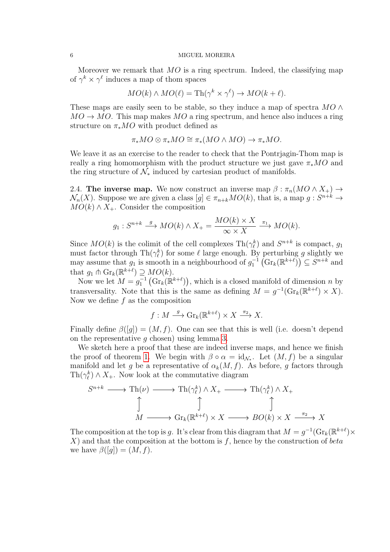Moreover we remark that  $MO$  is a ring spectrum. Indeed, the classifying map of  $\gamma^k \times \gamma^\ell$  induces a map of thom spaces

$$
MO(k) \wedge MO(\ell) = \text{Th}(\gamma^k \times \gamma^{\ell}) \to MO(k+\ell).
$$

These maps are easily seen to be stable, so they induce a map of spectra  $MO \wedge$  $MO \rightarrow MO$ . This map makes  $MO$  a ring spectrum, and hence also induces a ring structure on  $\pi_* MO$  with product defined as

$$
\pi_*MO\otimes \pi_*MO\cong \pi_*(MO\wedge MO)\to \pi_*MO.
$$

We leave it as an exercise to the reader to check that the Pontrjagin-Thom map is really a ring homomorphism with the product structure we just gave  $\pi_*MO$  and the ring structure of  $\mathcal{N}_*$  induced by cartesian product of manifolds.

2.4. The inverse map. We now construct an inverse map  $\beta : \pi_n(MO \wedge X_+) \to$  $\mathcal{N}_n(X)$ . Suppose we are given a class  $[g] \in \pi_{n+k}MO(k)$ , that is, a map  $g: S^{n+k} \to$  $MO(k) \wedge X_+$ . Consider the composition

$$
g_1: S^{n+k} \xrightarrow{g} MO(k) \wedge X_+ = \frac{MO(k) \times X}{\infty \times X} \xrightarrow{\pi_1} MO(k).
$$

Since  $MO(k)$  is the colimit of the cell complexes  $\text{Th}(\gamma_{\ell}^k)$  and  $S^{n+k}$  is compact,  $g_1$ must factor through  $\text{Th}(\gamma_{\ell}^k)$  for some  $\ell$  large enough. By perturbing g slightly we may assume that  $g_1$  is smooth in a neighbourhood of  $g_1^{-1}(\text{Gr}_k(\mathbb{R}^{k+\ell})) \subseteq S^{n+k}$  and that  $g_1 \pitchfork \mathrm{Gr}_k(\mathbb{R}^{k+\ell}) \supseteq MO(k)$ .

Now we let  $M = g_1^{-1}(\text{Gr}_k(\mathbb{R}^{k+\ell}))$ , which is a closed manifold of dimension n by transversality. Note that this is the same as defining  $M = g^{-1}(\text{Gr}_k(\mathbb{R}^{k+\ell}) \times X)$ . Now we define  $f$  as the composition

$$
f: M \xrightarrow{g} \operatorname{Gr}_k(\mathbb{R}^{k+\ell}) \times X \xrightarrow{\pi_2} X.
$$

Finally define  $\beta([g]) = (M, f)$ . One can see that this is well (i.e. doesn't depend on the representative  $g$  chosen) using lemma [3.](#page-2-0)

We sketch here a proof that these are indeed inverse maps, and hence we finish the proof of theorem [1.](#page-0-0) We begin with  $\beta \circ \alpha = id_{\mathcal{N}_{*}}$ . Let  $(M, f)$  be a singular manifold and let g be a representative of  $\alpha_k(M, f)$ . As before, g factors through  $\text{Th}(\gamma_{\ell}^k) \wedge X_+$ . Now look at the commutative diagram

$$
S^{n+k} \longrightarrow \text{Th}(\nu) \longrightarrow \text{Th}(\gamma_{\ell}^{k}) \land X_{+} \longrightarrow \text{Th}(\gamma_{\ell}^{k}) \land X_{+}
$$
  
\n
$$
\uparrow \qquad \qquad \uparrow \qquad \qquad \uparrow
$$
  
\n
$$
M \longrightarrow \text{Gr}_{k}(\mathbb{R}^{k+\ell}) \times X \longrightarrow BO(k) \times X \xrightarrow{\pi_{2}} X
$$

The composition at the top is g. It's clear from this diagram that  $M = g^{-1}(\text{Gr}_k(\mathbb{R}^{k+\ell}) \times$  $X$ ) and that the composition at the bottom is f, hence by the construction of beta we have  $\beta([g]) = (M, f)$ .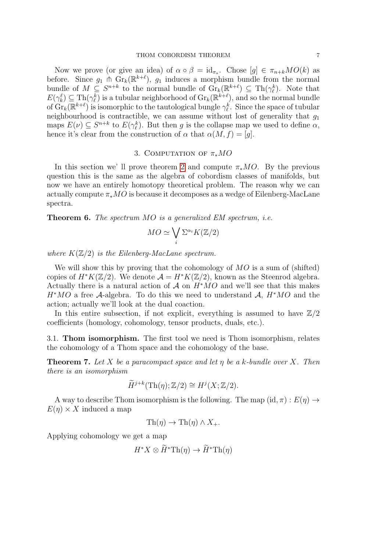Now we prove (or give an idea) of  $\alpha \circ \beta = id_{\pi_*}$ . Chose  $[g] \in \pi_{n+k}MO(k)$  as before. Since  $g_1$   $\stackrel{\frown}{\Pi}$  Gr<sub>k</sub>( $\mathbb{R}^{k+\ell}$ ),  $g_1$  induces a morphism bundle from the normal bundle of  $M \subseteq S^{n+k}$  to the normal bundle of  $\operatorname{Gr}_k(\mathbb{R}^{k+\ell}) \subseteq \operatorname{Th}(\gamma_\ell^k)$ . Note that  $E(\gamma_k^{\ell}) \subseteq \text{Th}(\gamma_{\ell}^k)$  is a tubular neighborhood of  $\text{Gr}_k(\mathbb{R}^{k+\ell})$ , and so the normal bundle of  $\hat{Gr}_k(\mathbb{R}^{k+\ell})$  is isomorphic to the tautological bungle  $\gamma_{\ell}^k$ . Since the space of tubular neighbourhood is contractible, we can assume without lost of generality that  $g_1$ maps  $E(\nu) \subseteq S^{n+k}$  to  $E(\gamma_{\ell}^k)$ . But then g is the collapse map we used to define  $\alpha$ , hence it's clear from the construction of  $\alpha$  that  $\alpha(M, f) = [q]$ .

# 3. COMPUTATION OF  $\pi_*MO$

In this section we' ll prove theorem [2](#page-0-1) and compute  $\pi_*MO$ . By the previous question this is the same as the algebra of cobordism classes of manifolds, but now we have an entirely homotopy theoretical problem. The reason why we can actually compute  $\pi_*MO$  is because it decomposes as a wedge of Eilenberg-MacLane spectra.

**Theorem 6.** The spectrum  $MO$  is a generalized  $EM$  spectrum, i.e.

$$
MO \simeq \bigvee_i \Sigma^{\alpha_i} K(\mathbb{Z}/2)
$$

where  $K(\mathbb{Z}/2)$  is the Eilenberg-MacLane spectrum.

We will show this by proving that the cohomology of  $MO$  is a sum of (shifted) copies of  $H^*K(\mathbb{Z}/2)$ . We denote  $\mathcal{A} = H^*K(\mathbb{Z}/2)$ , known as the Steenrod algebra. Actually there is a natural action of A on  $H^*MO$  and we'll see that this makes  $H^*MO$  a free A-algebra. To do this we need to understand A,  $H^*MO$  and the action; actually we'll look at the dual coaction.

In this entire subsection, if not explicit, everything is assumed to have  $\mathbb{Z}/2$ coefficients (homology, cohomology, tensor products, duals, etc.).

3.1. Thom isomorphism. The first tool we need is Thom isomorphism, relates the cohomology of a Thom space and the cohomology of the base.

**Theorem 7.** Let X be a paracompact space and let  $\eta$  be a k-bundle over X. Then there is an isomorphism

$$
\widetilde{H}^{j+k}(\mathrm{Th}(\eta);\mathbb{Z}/2)\cong H^j(X;\mathbb{Z}/2).
$$

A way to describe Thom isomorphism is the following. The map  $(id, \pi) : E(\eta) \rightarrow$  $E(\eta) \times X$  induced a map

 $\text{Th}(\eta) \to \text{Th}(\eta) \wedge X_+$ .

Applying cohomology we get a map

$$
H^*X \otimes \widetilde{H}^* \mathrm{Th}(\eta) \to \widetilde{H}^* \mathrm{Th}(\eta)
$$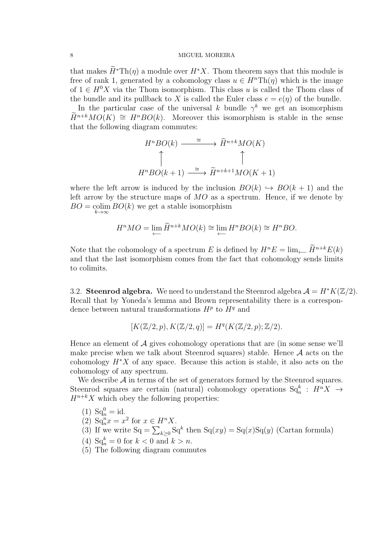that makes  $\widetilde{H}^*{\rm Th}(\eta)$  a module over  $H^*X$ . Thom theorem says that this module is free of rank 1, generated by a cohomology class  $u \in H^n \text{Th}(\eta)$  which is the image of  $1 \in H^0 X$  via the Thom isomorphism. This class u is called the Thom class of the bundle and its pullback to X is called the Euler class  $e = e(\eta)$  of the bundle.

In the particular case of the universal k bundle  $\gamma^k$  we get an isomorphism  $\widetilde{H}^{n+k}MO(K) \cong H^nBO(k)$ . Moreover this isomorphism is stable in the sense that the following diagram commutes:

$$
H^nBO(k) \xrightarrow{\cong} \widetilde{H}^{n+k}MO(K)
$$
  

$$
\uparrow
$$
  

$$
H^nBO(k+1) \xrightarrow{\cong} \widetilde{H}^{n+k+1}MO(K+1)
$$

where the left arrow is induced by the inclusion  $BO(k) \hookrightarrow BO(k+1)$  and the left arrow by the structure maps of  $MO$  as a spectrum. Hence, if we denote by  $BO = \text{colim } BO(k)$  we get a stable isomorphism  $k\rightarrow\infty$ 

$$
H^nMO = \lim_{\longleftarrow} \widetilde{H}^{n+k}MO(k) \cong \lim_{\longleftarrow} H^nBO(k) \cong H^nBO.
$$

Note that the cohomology of a spectrum E is defined by  $H^nE = \lim_{\longleftarrow} \widetilde{H}^{n+k}E(k)$ and that the last isomorphism comes from the fact that cohomology sends limits to colimits.

3.2. Steenrod algebra. We need to understand the Steenrod algebra  $\mathcal{A} = H^*K(\mathbb{Z}/2)$ . Recall that by Yoneda's lemma and Brown representability there is a correspondence between natural transformations  $H^p$  to  $H^q$  and

$$
[K(\mathbb{Z}/2, p), K(\mathbb{Z}/2, q)] = H^q(K(\mathbb{Z}/2, p); \mathbb{Z}/2).
$$

Hence an element of  $A$  gives cohomology operations that are (in some sense we'll make precise when we talk about Steenrod squares) stable. Hence  $A$  acts on the cohomology  $H^*X$  of any space. Because this action is stable, it also acts on the cohomology of any spectrum.

We describe  $\mathcal{A}$  in terms of the set of generators formed by the Steenrod squares. Steenrod squares are certain (natural) cohomology operations  $\text{Sq}^k_n$  :  $H^n X \rightarrow$  $H^{n+k}X$  which obey the following properties:

$$
(1) \ \mathrm{Sq}_{n}^{0} = \mathrm{id}.
$$

(2) 
$$
Sq_n^n x = x^2
$$
 for  $x \in H^n X$ .

(3) If we write 
$$
Sq = \sum_{k\geq 0} Sq^k
$$
 then  $Sq(xy) = Sq(x)Sq(y)$  (Cartan formula)

- (4)  $\text{Sq}_{n}^{k} = 0$  for  $k < 0$  and  $k > n$ .
- (5) The following diagram commutes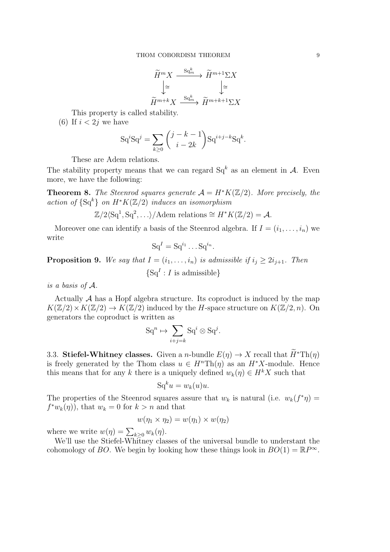$$
\widetilde{H}^m X \xrightarrow{\mathrm{Sq}^k_m} \widetilde{H}^{m+1} \Sigma X
$$
\n
$$
\downarrow \cong \qquad \qquad \downarrow \cong
$$
\n
$$
\widetilde{H}^{m+k} X \xrightarrow{\mathrm{Sq}^k_m} \widetilde{H}^{m+k+1} \Sigma X
$$

This property is called stability.

(6) If  $i < 2j$  we have

$$
SqjSqj = \sum_{k \ge 0} {j-k-1 \choose i-2k} Sqi+j-kSqk.
$$

These are Adem relations.

The stability property means that we can regard  $Sq^{k}$  as an element in  $A$ . Even more, we have the following:

**Theorem 8.** The Steenrod squares generate  $A = H^*K(\mathbb{Z}/2)$ . More precisely, the action of  $\{Sq^k\}$  on  $H^*K(\mathbb{Z}/2)$  induces an isomorphism

$$
\mathbb{Z}/2\langle\mathrm{Sq}^1, \mathrm{Sq}^2, \ldots \rangle/\text{Adem relations} \cong H^*K(\mathbb{Z}/2) = \mathcal{A}.
$$

Moreover one can identify a basis of the Steenrod algebra. If  $I = (i_1, \ldots, i_n)$  we write

$$
Sq^I = Sq^{i_1} \dots Sq^{i_n}.
$$

**Proposition 9.** We say that  $I = (i_1, \ldots, i_n)$  is admissible if  $i_j \geq 2i_{j+1}$ . Then

 $\{Sq^I : I$  is admissible}

is a basis of A.

Actually  $A$  has a Hopf algebra structure. Its coproduct is induced by the map  $K(\mathbb{Z}/2) \times K(\mathbb{Z}/2) \to K(\mathbb{Z}/2)$  induced by the H-space structure on  $K(\mathbb{Z}/2, n)$ . On generators the coproduct is written as

$$
\mathrm{Sq}^n \mapsto \sum_{i+j=k} \mathrm{Sq}^i \otimes \mathrm{Sq}^j.
$$

3.3. Stiefel-Whitney classes. Given a *n*-bundle  $E(\eta) \to X$  recall that  $\widetilde{H}^* \text{Th}(\eta)$ is freely generated by the Thom class  $u \in H^n \text{Th}(\eta)$  as an  $H^*X$ -module. Hence this means that for any k there is a uniquely defined  $w_k(\eta) \in H^k X$  such that

$$
Sq^ku = w_k(u)u.
$$

The properties of the Steenrod squares assure that  $w_k$  is natural (i.e.  $w_k(f^*\eta) =$  $f^*w_k(\eta)$ , that  $w_k = 0$  for  $k > n$  and that

$$
w(\eta_1 \times \eta_2) = w(\eta_1) \times w(\eta_2)
$$

where we write  $w(\eta) = \sum_{k \geq 0} w_k(\eta)$ .

We'll use the Stiefel-Whitney classes of the universal bundle to understant the cohomology of BO. We begin by looking how these things look in  $BO(1) = \mathbb{R}P^{\infty}$ .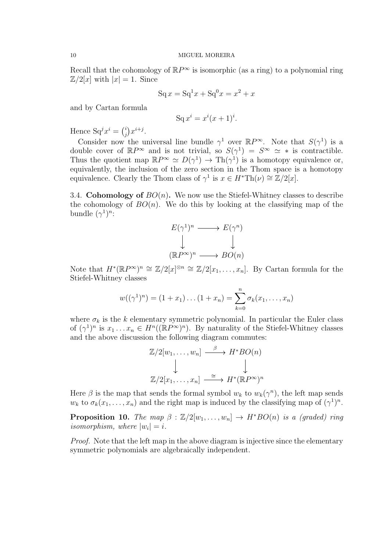Recall that the cohomology of  $\mathbb{R}P^{\infty}$  is isomorphic (as a ring) to a polynomial ring  $\mathbb{Z}/2[x]$  with  $|x|=1$ . Since

$$
Sq x = Sq1 x + Sq0 x = x2 + x
$$

and by Cartan formula

$$
\mathrm{Sq}\,x^i = x^i(x+1)^i.
$$

Hence  $Sq^{j}x^{i} = {i \choose j}$  $j^{i}$  $x^{i+j}$ .

Consider now the universal line bundle  $\gamma^1$  over  $\mathbb{R}P^{\infty}$ . Note that  $S(\gamma^1)$  is a double cover of  $\mathbb{R}P^{\infty}$  and is not trivial, so  $S(\gamma^1) = S^{\infty} \simeq *$  is contractible. Thus the quotient map  $\mathbb{R}P^{\infty} \simeq D(\gamma^1) \to \text{Th}(\gamma^1)$  is a homotopy equivalence or, equivalently, the inclusion of the zero section in the Thom space is a homotopy equivalence. Clearly the Thom class of  $\gamma^1$  is  $x \in H^* \text{Th}(\nu) \cong \mathbb{Z}/2[x]$ .

3.4. Cohomology of  $BO(n)$ . We now use the Stiefel-Whitney classes to describe the cohomology of  $BO(n)$ . We do this by looking at the classifying map of the bundle  $(\gamma^1)^n$ :

$$
E(\gamma^1)^n \longrightarrow E(\gamma^n)
$$
  
\n
$$
\downarrow \qquad \qquad \downarrow
$$
  
\n
$$
(\mathbb{R}P^{\infty})^n \longrightarrow BO(n)
$$

Note that  $H^*(\mathbb{R}P^{\infty})^n \cong \mathbb{Z}/2[x]^{\otimes n} \cong \mathbb{Z}/2[x_1,\ldots,x_n]$ . By Cartan formula for the Stiefel-Whitney classes

$$
w((\gamma^1)^n) = (1 + x_1) \dots (1 + x_n) = \sum_{k=0}^n \sigma_k(x_1, \dots, x_n)
$$

where  $\sigma_k$  is the k elementary symmetric polynomial. In particular the Euler class of  $(\gamma^1)^n$  is  $x_1 \ldots x_n \in H^n((\mathbb{R}P^{\infty})^n)$ . By naturality of the Stiefel-Whitney classes and the above discussion the following diagram commutes:

$$
\mathbb{Z}/2[w_1, \dots, w_n] \xrightarrow{\beta} H^*BO(n)
$$
  

$$
\downarrow \qquad \qquad \downarrow
$$
  

$$
\mathbb{Z}/2[x_1, \dots, x_n] \xrightarrow{\cong} H^*(\mathbb{R}P^{\infty})^n
$$

Here  $\beta$  is the map that sends the formal symbol  $w_k$  to  $w_k(\gamma^n)$ , the left map sends  $w_k$  to  $\sigma_k(x_1,\ldots,x_n)$  and the right map is induced by the classifying map of  $(\gamma^1)^n$ .

**Proposition 10.** The map  $\beta : \mathbb{Z}/2[w_1, \ldots, w_n] \rightarrow H^*BO(n)$  is a (graded) ring isomorphism, where  $|w_i| = i$ .

Proof. Note that the left map in the above diagram is injective since the elementary symmetric polynomials are algebraically independent.